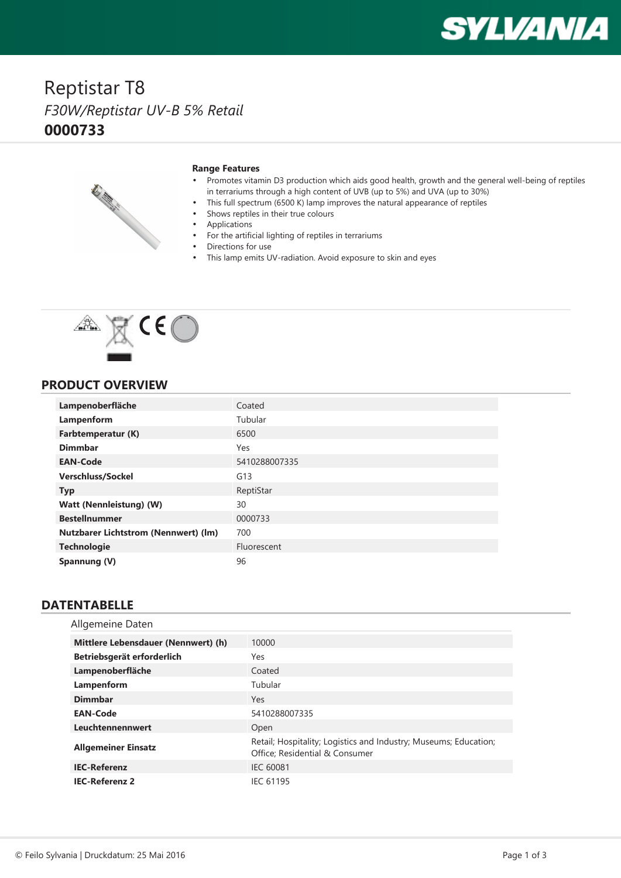# **SYLVANIA**

## Reptistar T8 *F30W/Reptistar UV-B 5% Retail* **0000733**



#### **Range Features**

- • Promotes vitamin D3 production which aids good health, growth and the general well-being of reptiles in terrariums through <sup>a</sup> high content of UVB (up to 5%) and UVA (up to 30%)
- This full spectrum (6500 K) lamp improves the natural appearance of reptiles
- •Shows reptiles in their true colours
- •Applications

•

- For the artificial lighting of reptiles in terrariums
- •Directions for use
- •This lamp emits UV-radiation. Avoid exposure to skin and eyes



#### **PRODUCT OVERVIEW**

| Lampenoberfläche                            | Coated        |
|---------------------------------------------|---------------|
| Lampenform                                  | Tubular       |
| Farbtemperatur (K)                          | 6500          |
| <b>Dimmbar</b>                              | Yes           |
| <b>EAN-Code</b>                             | 5410288007335 |
| <b>Verschluss/Sockel</b>                    | G13           |
| <b>Typ</b>                                  | ReptiStar     |
| Watt (Nennleistung) (W)                     | 30            |
| <b>Bestellnummer</b>                        | 0000733       |
| <b>Nutzbarer Lichtstrom (Nennwert) (lm)</b> | 700           |
| <b>Technologie</b>                          | Fluorescent   |
| Spannung (V)                                | 96            |

### **DATENTABELLE**

| Allgemeine Daten                    |                                                                                                    |
|-------------------------------------|----------------------------------------------------------------------------------------------------|
| Mittlere Lebensdauer (Nennwert) (h) | 10000                                                                                              |
| Betriebsgerät erforderlich          | Yes                                                                                                |
| Lampenoberfläche                    | Coated                                                                                             |
| Lampenform                          | Tubular                                                                                            |
| <b>Dimmbar</b>                      | Yes                                                                                                |
| <b>EAN-Code</b>                     | 5410288007335                                                                                      |
| Leuchtennennwert                    | Open                                                                                               |
| <b>Allgemeiner Einsatz</b>          | Retail; Hospitality; Logistics and Industry; Museums; Education;<br>Office; Residential & Consumer |
| <b>IEC-Referenz</b>                 | <b>IEC 60081</b>                                                                                   |
| <b>IEC-Referenz 2</b>               | <b>IEC 61195</b>                                                                                   |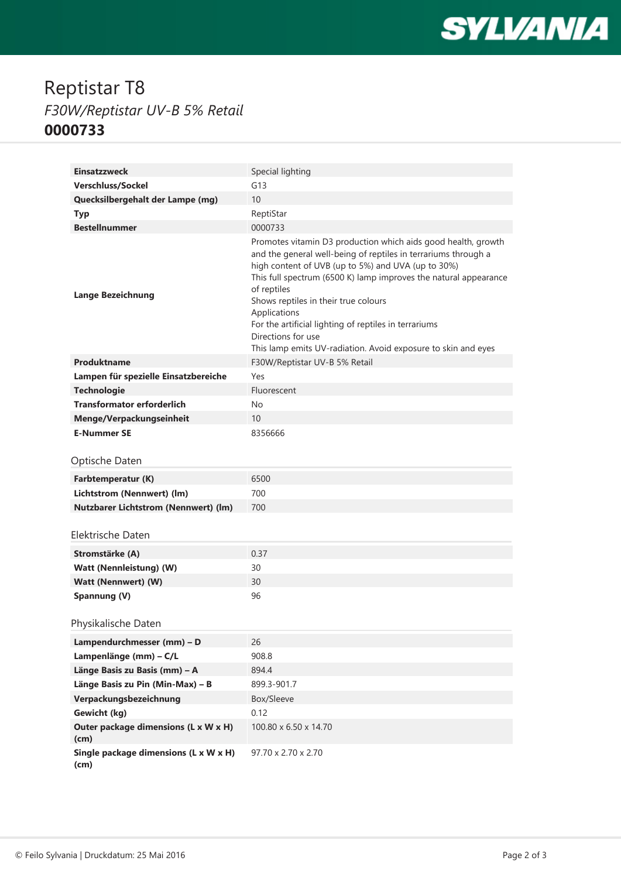

## Reptistar T8 *F30W/Reptistar UV-B 5% Retail* **0000733**

| <b>Einsatzzweck</b>                            | Special lighting                                                                                                                                                                                                                                                                                                                                                                                                                                                                 |
|------------------------------------------------|----------------------------------------------------------------------------------------------------------------------------------------------------------------------------------------------------------------------------------------------------------------------------------------------------------------------------------------------------------------------------------------------------------------------------------------------------------------------------------|
| Verschluss/Sockel                              | G13                                                                                                                                                                                                                                                                                                                                                                                                                                                                              |
| Quecksilbergehalt der Lampe (mg)               | 10                                                                                                                                                                                                                                                                                                                                                                                                                                                                               |
| <b>Typ</b>                                     | ReptiStar                                                                                                                                                                                                                                                                                                                                                                                                                                                                        |
| <b>Bestellnummer</b>                           | 0000733                                                                                                                                                                                                                                                                                                                                                                                                                                                                          |
| <b>Lange Bezeichnung</b>                       | Promotes vitamin D3 production which aids good health, growth<br>and the general well-being of reptiles in terrariums through a<br>high content of UVB (up to 5%) and UVA (up to 30%)<br>This full spectrum (6500 K) lamp improves the natural appearance<br>of reptiles<br>Shows reptiles in their true colours<br>Applications<br>For the artificial lighting of reptiles in terrariums<br>Directions for use<br>This lamp emits UV-radiation. Avoid exposure to skin and eyes |
| Produktname                                    | F30W/Reptistar UV-B 5% Retail                                                                                                                                                                                                                                                                                                                                                                                                                                                    |
| Lampen für spezielle Einsatzbereiche           | Yes                                                                                                                                                                                                                                                                                                                                                                                                                                                                              |
| <b>Technologie</b>                             | Fluorescent                                                                                                                                                                                                                                                                                                                                                                                                                                                                      |
| <b>Transformator erforderlich</b>              | No                                                                                                                                                                                                                                                                                                                                                                                                                                                                               |
| Menge/Verpackungseinheit                       | 10 <sup>1</sup>                                                                                                                                                                                                                                                                                                                                                                                                                                                                  |
| <b>E-Nummer SE</b>                             | 8356666                                                                                                                                                                                                                                                                                                                                                                                                                                                                          |
| Optische Daten                                 |                                                                                                                                                                                                                                                                                                                                                                                                                                                                                  |
| Farbtemperatur (K)                             | 6500                                                                                                                                                                                                                                                                                                                                                                                                                                                                             |
| Lichtstrom (Nennwert) (lm)                     | 700                                                                                                                                                                                                                                                                                                                                                                                                                                                                              |
| <b>Nutzbarer Lichtstrom (Nennwert) (lm)</b>    | 700                                                                                                                                                                                                                                                                                                                                                                                                                                                                              |
| Elektrische Daten                              |                                                                                                                                                                                                                                                                                                                                                                                                                                                                                  |
|                                                | 0.37                                                                                                                                                                                                                                                                                                                                                                                                                                                                             |
| Stromstärke (A)                                | 30                                                                                                                                                                                                                                                                                                                                                                                                                                                                               |
| Watt (Nennleistung) (W)<br>Watt (Nennwert) (W) | 30                                                                                                                                                                                                                                                                                                                                                                                                                                                                               |
| Spannung (V)                                   | 96                                                                                                                                                                                                                                                                                                                                                                                                                                                                               |
|                                                |                                                                                                                                                                                                                                                                                                                                                                                                                                                                                  |
| Physikalische Daten                            |                                                                                                                                                                                                                                                                                                                                                                                                                                                                                  |
| Lampendurchmesser (mm) - D                     | 26                                                                                                                                                                                                                                                                                                                                                                                                                                                                               |
| Lampenlänge (mm) - C/L                         | 908.8                                                                                                                                                                                                                                                                                                                                                                                                                                                                            |
| Länge Basis zu Basis (mm) - A                  | 894.4                                                                                                                                                                                                                                                                                                                                                                                                                                                                            |
| Länge Basis zu Pin (Min-Max) - B               | 899.3-901.7                                                                                                                                                                                                                                                                                                                                                                                                                                                                      |
| Verpackungsbezeichnung                         | Box/Sleeve                                                                                                                                                                                                                                                                                                                                                                                                                                                                       |
| Gewicht (kg)                                   | 0.12                                                                                                                                                                                                                                                                                                                                                                                                                                                                             |
| Outer package dimensions (L x W x H)<br>(cm)   | 100.80 x 6.50 x 14.70                                                                                                                                                                                                                                                                                                                                                                                                                                                            |
| Single package dimensions (L x W x H)<br>(cm)  | $97.70 \times 2.70 \times 2.70$                                                                                                                                                                                                                                                                                                                                                                                                                                                  |